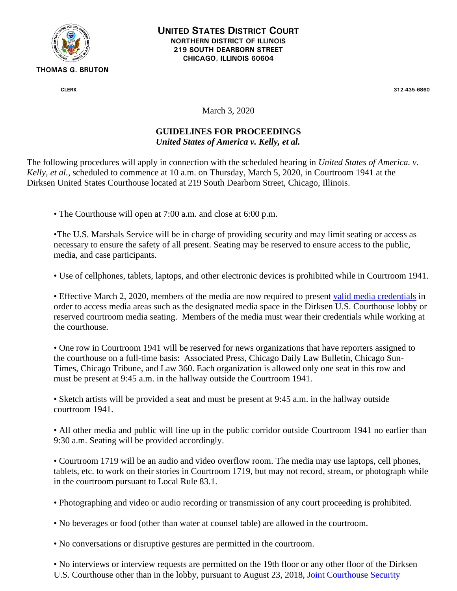

**UNITED STATES DISTRICT COURT NORTHERN DISTRICT OF ILLINOIS 219 SOUTH DEARBORN STREET CHICAGO, ILLINOIS 60604**

**CLERK 312-435-6860**

March 3, 2020

## **GUIDELINES FOR PROCEEDINGS**

*United States of America v. Kelly, et al.*

The following procedures will apply in connection with the scheduled hearing in *United States of America. v. Kelly, et al.,* scheduled to commence at 10 a.m. on Thursday, March 5, 2020, in Courtroom 1941 at the Dirksen United States Courthouse located at 219 South Dearborn Street, Chicago, Illinois.

• The Courthouse will open at 7:00 a.m. and close at 6:00 p.m.

•The U.S. Marshals Service will be in charge of providing security and may limit seating or access as necessary to ensure the safety of all present. Seating may be reserved to ensure access to the public, media, and case participants.

• Use of cellphones, tablets, laptops, and other electronic devices is prohibited while in Courtroom 1941.

• Effective March 2, 2020, members of the media are now required to present [valid media credentials](https://www.ilnd.uscourts.gov/Pages.aspx?page=mediaCreRequirement) in order to access media areas such as the designated media space in the Dirksen U.S. Courthouse lobby or reserved courtroom media seating. Members of the media must wear their credentials while working at the courthouse.

• One row in Courtroom 1941 will be reserved for news organizations that have reporters assigned to the courthouse on a full-time basis: Associated Press, Chicago Daily Law Bulletin, Chicago Sun-Times, Chicago Tribune, and Law 360. Each organization is allowed only one seat in this row and must be present at 9:45 a.m. in the hallway outside the Courtroom 1941.

• Sketch artists will be provided a seat and must be present at 9:45 a.m. in the hallway outside courtroom 1941.

• All other media and public will line up in the public corridor outside Courtroom 1941 no earlier than 9:30 a.m. Seating will be provided accordingly.

• Courtroom 1719 will be an audio and video overflow room. The media may use laptops, cell phones, tablets, etc. to work on their stories in Courtroom 1719, but may not record, stream, or photograph while in the courtroom pursuant to Local Rule 83.1.

- Photographing and video or audio recording or transmission of any court proceeding is prohibited.
- No beverages or food (other than water at counsel table) are allowed in the courtroom.
- No conversations or disruptive gestures are permitted in the courtroom.

• No interviews or interview requests are permitted on the 19th floor or any other floor of the Dirksen U.S. Courthouse other than in the lobby, pursuant to August 23, 2018, [Joint Courthouse](https://www.ilnd.uscourts.gov/_assets/_documents/Joint%20Courthouse%20Security%20Order.pdf) [Security](https://www.ilnd.uscourts.gov/_assets/_documents/Joint%20Courthouse%20Security%20Order.pdf)